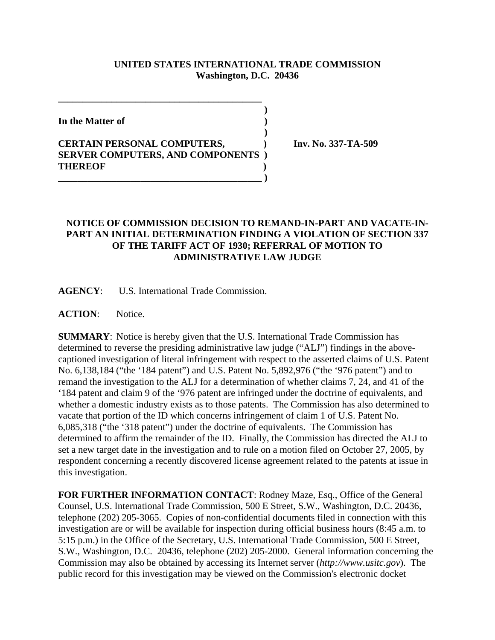## **UNITED STATES INTERNATIONAL TRADE COMMISSION Washington, D.C. 20436**

 **)**

 **)**

**In the Matter of )**

## **CERTAIN PERSONAL COMPUTERS, ) Inv. No. 337-TA-509 SERVER COMPUTERS, AND COMPONENTS ) THEREOF ) \_\_\_\_\_\_\_\_\_\_\_\_\_\_\_\_\_\_\_\_\_\_\_\_\_\_\_\_\_\_\_\_\_\_\_\_\_\_\_\_\_\_ )**

**\_\_\_\_\_\_\_\_\_\_\_\_\_\_\_\_\_\_\_\_\_\_\_\_\_\_\_\_\_\_\_\_\_\_\_\_\_\_\_\_\_\_**

## **NOTICE OF COMMISSION DECISION TO REMAND-IN-PART AND VACATE-IN-PART AN INITIAL DETERMINATION FINDING A VIOLATION OF SECTION 337 OF THE TARIFF ACT OF 1930; REFERRAL OF MOTION TO ADMINISTRATIVE LAW JUDGE**

**AGENCY**: U.S. International Trade Commission.

**ACTION**: Notice.

**SUMMARY**: Notice is hereby given that the U.S. International Trade Commission has determined to reverse the presiding administrative law judge ("ALJ") findings in the abovecaptioned investigation of literal infringement with respect to the asserted claims of U.S. Patent No. 6,138,184 ("the '184 patent") and U.S. Patent No. 5,892,976 ("the '976 patent") and to remand the investigation to the ALJ for a determination of whether claims 7, 24, and 41 of the '184 patent and claim 9 of the '976 patent are infringed under the doctrine of equivalents, and whether a domestic industry exists as to those patents. The Commission has also determined to vacate that portion of the ID which concerns infringement of claim 1 of U.S. Patent No. 6,085,318 ("the '318 patent") under the doctrine of equivalents. The Commission has determined to affirm the remainder of the ID. Finally, the Commission has directed the ALJ to set a new target date in the investigation and to rule on a motion filed on October 27, 2005, by respondent concerning a recently discovered license agreement related to the patents at issue in this investigation.

**FOR FURTHER INFORMATION CONTACT**: Rodney Maze, Esq., Office of the General Counsel, U.S. International Trade Commission, 500 E Street, S.W., Washington, D.C. 20436, telephone (202) 205-3065. Copies of non-confidential documents filed in connection with this investigation are or will be available for inspection during official business hours (8:45 a.m. to 5:15 p.m.) in the Office of the Secretary, U.S. International Trade Commission, 500 E Street, S.W., Washington, D.C. 20436, telephone (202) 205-2000. General information concerning the Commission may also be obtained by accessing its Internet server (*http://www.usitc.gov*). The public record for this investigation may be viewed on the Commission's electronic docket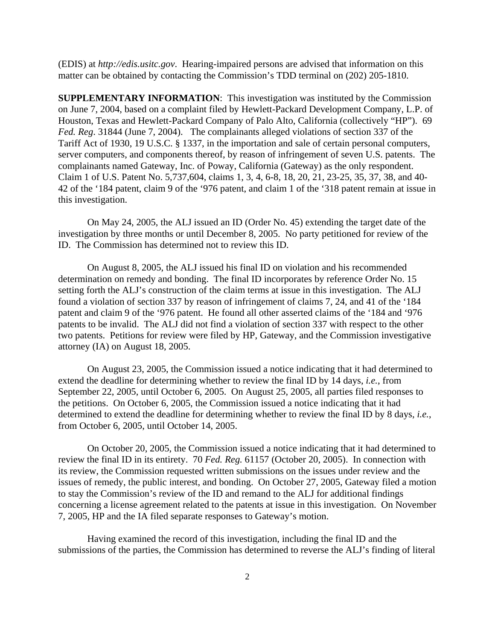(EDIS) at *http://edis.usitc.gov*. Hearing-impaired persons are advised that information on this matter can be obtained by contacting the Commission's TDD terminal on (202) 205-1810.

**SUPPLEMENTARY INFORMATION**: This investigation was instituted by the Commission on June 7, 2004, based on a complaint filed by Hewlett-Packard Development Company, L.P. of Houston, Texas and Hewlett-Packard Company of Palo Alto, California (collectively "HP"). 69 *Fed. Reg*. 31844 (June 7, 2004). The complainants alleged violations of section 337 of the Tariff Act of 1930, 19 U.S.C. § 1337, in the importation and sale of certain personal computers, server computers, and components thereof, by reason of infringement of seven U.S. patents. The complainants named Gateway, Inc. of Poway, California (Gateway) as the only respondent. Claim 1 of U.S. Patent No. 5,737,604, claims 1, 3, 4, 6-8, 18, 20, 21, 23-25, 35, 37, 38, and 40- 42 of the '184 patent, claim 9 of the '976 patent, and claim 1 of the '318 patent remain at issue in this investigation.

On May 24, 2005, the ALJ issued an ID (Order No. 45) extending the target date of the investigation by three months or until December 8, 2005. No party petitioned for review of the ID. The Commission has determined not to review this ID.

On August 8, 2005, the ALJ issued his final ID on violation and his recommended determination on remedy and bonding. The final ID incorporates by reference Order No. 15 setting forth the ALJ's construction of the claim terms at issue in this investigation. The ALJ found a violation of section 337 by reason of infringement of claims 7, 24, and 41 of the '184 patent and claim 9 of the '976 patent. He found all other asserted claims of the '184 and '976 patents to be invalid. The ALJ did not find a violation of section 337 with respect to the other two patents. Petitions for review were filed by HP, Gateway, and the Commission investigative attorney (IA) on August 18, 2005.

On August 23, 2005, the Commission issued a notice indicating that it had determined to extend the deadline for determining whether to review the final ID by 14 days, *i.e.*, from September 22, 2005, until October 6, 2005. On August 25, 2005, all parties filed responses to the petitions. On October 6, 2005, the Commission issued a notice indicating that it had determined to extend the deadline for determining whether to review the final ID by 8 days, *i.e.*, from October 6, 2005, until October 14, 2005.

On October 20, 2005, the Commission issued a notice indicating that it had determined to review the final ID in its entirety. 70 *Fed. Reg.* 61157 (October 20, 2005). In connection with its review, the Commission requested written submissions on the issues under review and the issues of remedy, the public interest, and bonding. On October 27, 2005, Gateway filed a motion to stay the Commission's review of the ID and remand to the ALJ for additional findings concerning a license agreement related to the patents at issue in this investigation. On November 7, 2005, HP and the IA filed separate responses to Gateway's motion.

Having examined the record of this investigation, including the final ID and the submissions of the parties, the Commission has determined to reverse the ALJ's finding of literal